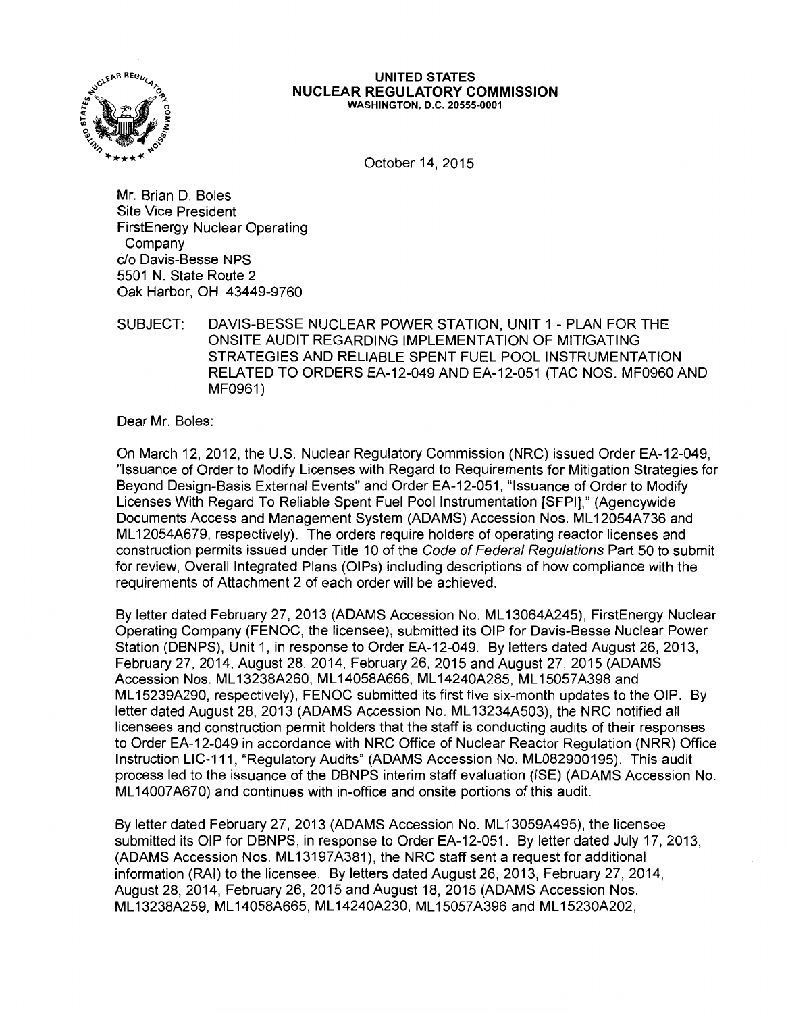

#### **UNITED STATES NUCLEAR REGULATORY COMMISSION**  WASHINGTON, D.C. 20555-0001

October 14, 2015

Mr. Brian D. Boles Site Vice President FirstEnergy Nuclear Operating Company c/o Davis-Besse NPS 5501 N. State Route 2 Oak Harbor, OH 43449-9760

SUBJECT: DAVIS-BESSE NUCLEAR POWER STATION, UNIT 1 - PLAN FOR THE ONSITE AUDIT REGARDING IMPLEMENTATION OF MITIGATING STRATEGIES AND RELIABLE SPENT FUEL POOL INSTRUMENTATION RELATED TO ORDERS EA-12-049 AND EA-12-051 (TAC NOS. MF0960 AND MF0961)

Dear Mr. Boles:

On March 12, 2012, the U.S. Nuclear Regulatory Commission (NRC) issued Order EA-12-049, "Issuance of Order to Modify Licenses with Regard to Requirements for Mitigation Strategies for Beyond Design-Basis External Events" and Order EA-12-051, "Issuance of Order to Modify Licenses With Regard To Reliable Spent Fuel Pool Instrumentation [SFPI)," (Agencywide Documents Access and Management System (ADAMS) Accession Nos. ML 12054A736 and ML 12054A679, respectively). The orders require holders of operating reactor licenses and construction permits issued under Title 10 of the Code of Federal Regulations Part 50 to submit for review, Overall Integrated Plans (OIPs) including descriptions of how compliance with the requirements of Attachment 2 of each order will be achieved.

By letter dated February 27, 2013 (ADAMS Accession No. ML 13064A245), FirstEnergy Nuclear Operating Company (FENOC, the licensee), submitted its OIP for Davis-Besse Nuclear Power Station (DBNPS), Unit 1, in response to Order EA-12-049. By letters dated August 26, 2013, February 27, 2014, August 28, 2014, February 26, 2015 and August 27, 2015 (ADAMS Accession Nos. ML 13238A260, ML 14058A666, ML 14240A285, ML 15057A398 and ML 15239A290, respectively), FENOC submitted its first five six-month updates to the OIP. By letter dated August 28, 2013 (ADAMS Accession No. ML13234A503), the NRC notified all licensees and construction permit holders that the staff is conducting audits of their responses to Order EA-12-049 in accordance with NRC Office of Nuclear Reactor Regulation (NRR) Office Instruction LIC-111, "Regulatory Audits" (ADAMS Accession No. ML082900195). This audit process led to the issuance of the DBNPS interim staff evaluation (ISE) (ADAMS Accession No. ML 14007 A670) and continues with in-office and onsite portions of this audit.

By letter dated February 27, 2013 (ADAMS Accession No. ML 13059A495), the licensee submitted its OIP for DBNPS, in response to Order EA-12-051. By letter dated July 17, 2013, (ADAMS Accession Nos. ML 13197 A381 ), the NRC staff sent a request for additional information (RAI) to the licensee. By letters dated August 26, 2013, February 27, 2014, August 28, 2014, February 26, 2015 and August 18, 2015 (ADAMS Accession Nos. ML 13238A259, ML 14058A665, ML 14240A230, ML 15057A396 and ML 15230A202,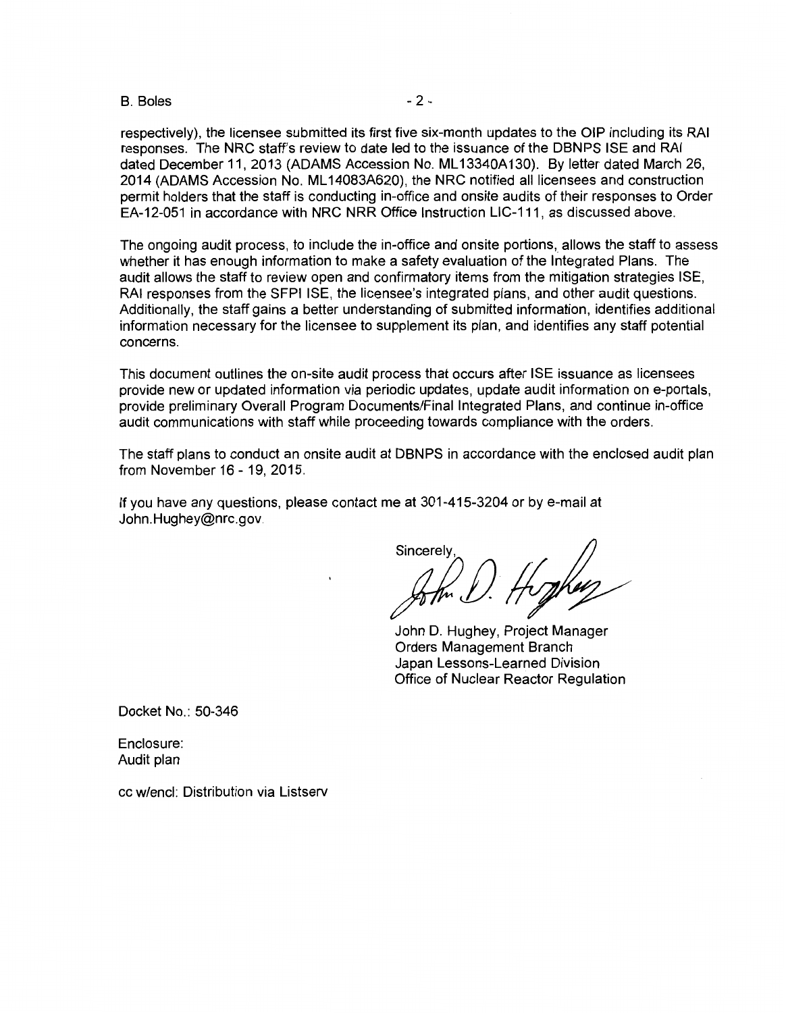#### B. Boles - 2 -

respectively), the licensee submitted its first five six-month updates to the OIP including its RAI responses. The NRC staff's review to date led to the issuance of the DBNPS ISE and RAI dated December 11, 2013 (ADAMS Accession No. ML13340A130). By letter dated March 26, 2014 (ADAMS Accession No. ML 14083A620), the NRC notified all licensees and construction permit holders that the staff is conducting in-office and onsite audits of their responses to Order EA-12-051 in accordance with NRC NRR Office Instruction LIC-111, as discussed above.

The ongoing audit process, to include the in-office and onsite portions, allows the staff to assess whether it has enough information to make a safety evaluation of the Integrated Plans. The audit allows the staff to review open and confirmatory items from the mitigation strategies ISE, RAI responses from the SFPI ISE, the licensee's integrated plans, and other audit questions. Additionally, the staff gains a better understanding of submitted information, identifies additional information necessary for the licensee to supplement its plan, and identifies any staff potential concerns.

This document outlines the on-site audit process that occurs after ISE issuance as licensees provide new or updated information via periodic updates, update audit information on e-portals, provide preliminary Overall Program Documents/Final Integrated Plans, and continue in-office audit communications with staff while proceeding towards compliance with the orders.

The staff plans to conduct an onsite audit at DBNPS in accordance with the enclosed audit plan from November 16 - 19, 2015.

If you have any questions, please contact me at 301-415-3204 or by e-mail at John.Hughey@nrc.gov.

Sincerely

John D. Hughey, Project Manager Orders Management Branch Japan Lessons-Learned Division Office of Nuclear Reactor Regulation

Docket No.: 50-346

Enclosure: Audit plan

cc w/encl: Distribution via Listserv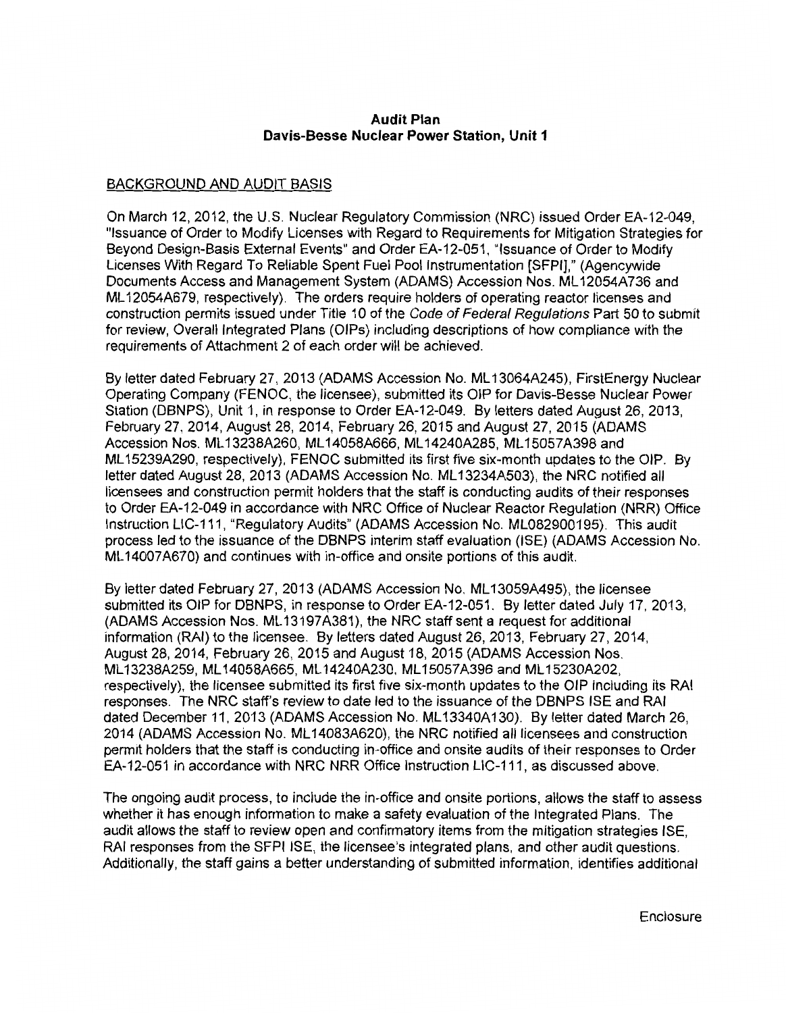## **Audit Plan Davis-Besse Nuclear Power Station, Unit 1**

# BACKGROUND AND AUDIT BASIS

On March 12, 2012, the U.S. Nuclear Regulatory Commission (NRC) issued Order EA-12-049, "Issuance of Order to Modify Licenses with Regard to Requirements for Mitigation Strategies for Beyond Design-Basis External Events" and Order EA-12-051, "Issuance of Order to Modify Licenses With Regard To Reliable Spent Fuel Pool Instrumentation [SFPI]," (Agencywide Documents Access and Management System (ADAMS) Accession Nos. ML 12054A736 and ML 12054A679, respectively). The orders require holders of operating reactor licenses and construction permits issued under Title 10 of the Code of Federal Regulations Part 50 to submit for review, Overall Integrated Plans (OIPs) including descriptions of how compliance with the requirements of Attachment 2 of each order will be achieved.

By letter dated February 27, 2013 (ADAMS Accession No. ML 13064A245), FirstEnergy Nuclear Operating Company (FENOC, the licensee), submitted its OIP for Davis-Besse Nuclear Power Station (DBNPS), Unit 1, in response to Order EA-12-049. By letters dated August 26, 2013, February 27, 2014, August 28, 2014, February 26, 2015 and August 27, 2015 (ADAMS Accession Nos. ML 13238A260, ML 14058A666, ML 14240A285, ML 15057A398 and ML 15239A290, respectively), FENOC submitted its first five six-month updates to the OIP. By letter dated August 28, 2013 (ADAMS Accession No. ML 13234A503), the NRC notified all licensees and construction permit holders that the staff is conducting audits of their responses to Order EA-12-049 in accordance with NRC Office of Nuclear Reactor Regulation (NRR) Office Instruction LIC-111, "Regulatory Audits" (ADAMS Accession No. ML082900195). This audit process led to the issuance of the DBNPS interim staff evaluation (ISE) (ADAMS Accession No. ML 14007 A670) and continues with in-office and onsite portions of this audit.

By letter dated February 27, 2013 (ADAMS Accession No. ML 13059A495), the licensee submitted its OIP for DBNPS, in response to Order EA-12-051. By letter dated July 17, 2013, (ADAMS Accession Nos. ML 13197A381), the NRC staff sent a request for additional information (RAI) to the licensee. By letters dated August 26, 2013, February 27, 2014, August 28, 2014, February 26, 2015 and August 18, 2015 (ADAMS Accession Nos. ML 13238A259, ML 14058A665, ML 14240A230, ML 15057A396 and ML 15230A202, respectively), the licensee submitted its first five six-month updates to the OIP including its RAI responses. The NRC staff's review to date led to the issuance of the DBNPS ISE and RAI dated December 11, 2013 (ADAMS Accession No. ML13340A130). By letter dated March 26, 2014 (ADAMS Accession No. ML 14083A620), the NRC notified all licensees and construction permit holders that the staff is conducting in-office and onsite audits of their responses to Order EA-12-051 in accordance with NRC NRR Office Instruction LIC-111, as discussed above.

The ongoing audit process, to include the in-office and onsite portions, allows the staff to assess whether it has enough information to make a safety evaluation of the Integrated Plans. The audit allows the staff to review open and confirmatory items from the mitigation strategies ISE, RAI responses from the SFPI ISE, the licensee's integrated plans, and other audit questions. Additionally, the staff gains a better understanding of submitted information, identifies additional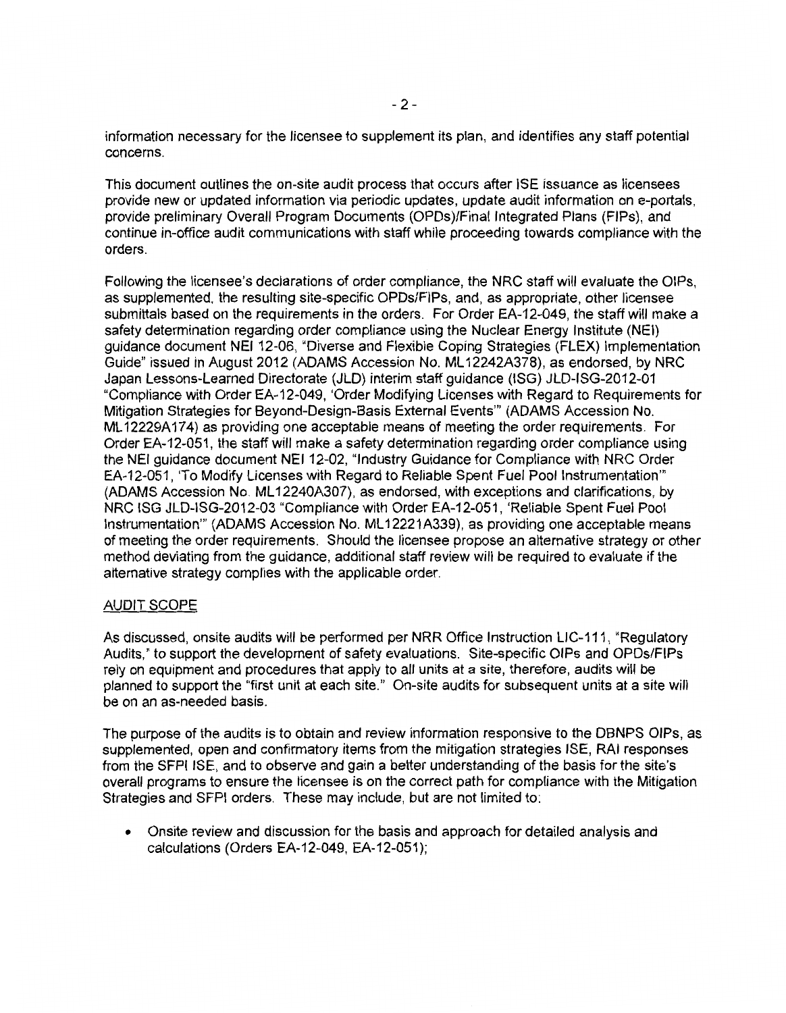information necessary for the licensee to supplement its plan, and identifies any staff potential concerns.

This document outlines the on-site audit process that occurs after ISE issuance as licensees provide new or updated information via periodic updates, update audit information on e-portals, provide preliminary Overall Program Documents (OPDs)/Final Integrated Plans (FIPs), and continue in-office audit communications with staff while proceeding towards compliance with the orders.

Following the licensee's declarations of order compliance, the NRC staff will evaluate the OIPs, as supplemented, the resulting site-specific OPDs/FIPs, and, as appropriate, other licensee submittals based on the requirements in the orders. For Order EA-12-049, the staff will make a safety determination regarding order compliance using the Nuclear Energy Institute (NEI) guidance document NEI 12-06, "Diverse and Flexible Coping Strategies (FLEX) Implementation Guide" issued in August 2012 (ADAMS Accession No. ML 12242A378), as endorsed, by NRC Japan Lessons-Learned Directorate (JLD) interim staff guidance {ISG) JLD-ISG-2012-01 "Compliance with Order EA-12-049, 'Order Modifying Licenses with Regard to Requirements for Mitigation Strategies for Beyond-Design-Basis External Events"' (ADAMS Accession No. ML 12229A174) as providing one acceptable means of meeting the order requirements. For Order EA-12-051, the staff will make a safety determination regarding order compliance using the NEI guidance document NEI 12-02, "Industry Guidance for Compliance with NRC Order EA-12-051, 'To Modify Licenses with Regard to Reliable Spent Fuel Pool Instrumentation"' (ADAMS Accession No. ML 12240A307), as endorsed, with exceptions and clarifications, by NRC ISG JLD-ISG-2012-03 "Compliance with Order EA-12-051, 'Reliable Spent Fuel Pool Instrumentation"' (ADAMS Accession No. ML 12221A339), as providing one acceptable means of meeting the order requirements. Should the licensee propose an alternative strategy or other method deviating from the guidance, additional staff review will be required to evaluate if the alternative strategy complies with the applicable order.

## AUDIT SCOPE

As discussed, onsite audits will be performed per NRR Office Instruction LIC-111, "Regulatory Audits," to support the development of safety evaluations. Site-specific OIPs and OPDs/FIPs rely on equipment and procedures that apply to all units at a site, therefore, audits will be planned to support the "first unit at each site." On-site audits for subsequent units at a site will be on an as-needed basis.

The purpose of the audits is to obtain and review information responsive to the DBNPS OIPs, as supplemented, open and confirmatory items from the mitigation strategies ISE, RAI responses from the SFPI ISE, and to observe and gain a better understanding of the basis for the site's overall programs to ensure the licensee is on the correct path for compliance with the Mitigation Strategies and SFPI orders. These may include, but are not limited to:

• Onsite review and discussion for the basis and approach for detailed analysis and calculations (Orders EA-12-049, EA-12-051);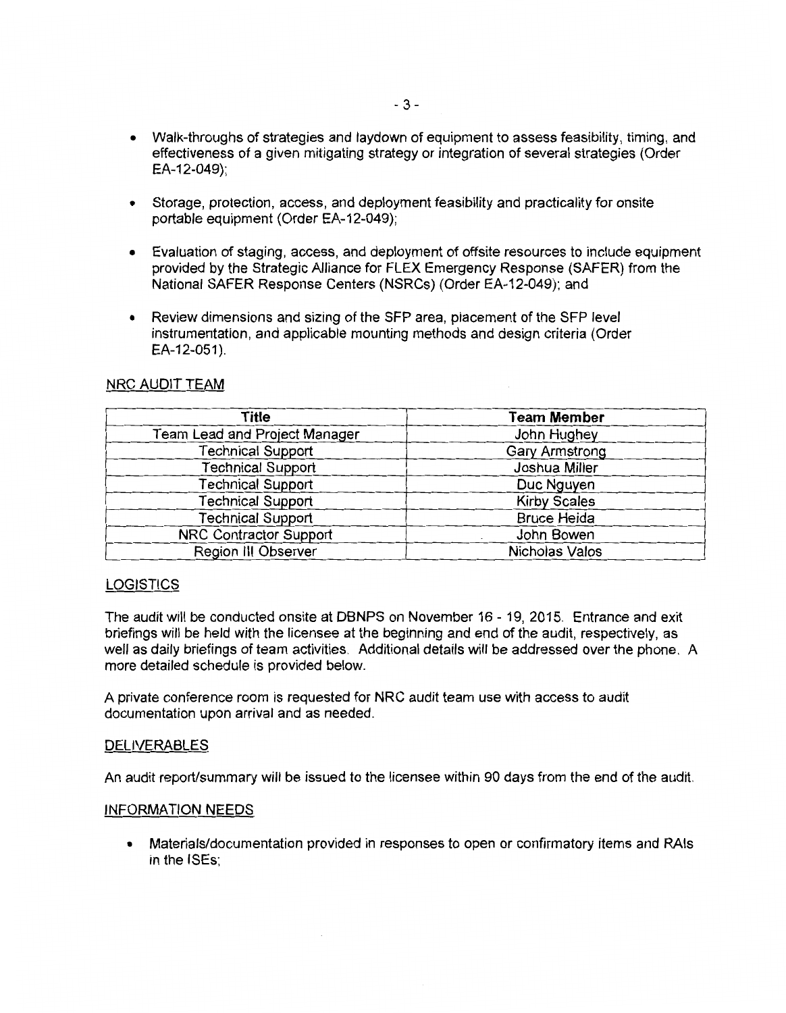- Walk-throughs of strategies and laydown of equipment to assess feasibility, timing, and effectiveness of a given mitigating strategy or integration of several strategies (Order EA-12-049);
- Storage, protection, access, and deployment feasibility and practicality for onsite portable equipment (Order EA-12-049);
- Evaluation of staging, access, and deployment of offsite resources to include equipment provided by the Strategic Alliance for FLEX Emergency Response (SAFER) from the National SAFER Response Centers (NSRCs) (Order EA-12-049); and
- Review dimensions and sizing of the SFP area, placement of the SFP level instrumentation, and applicable mounting methods and design criteria (Order EA-12-051).

## NRC AUDIT TEAM

| Title                         | <b>Team Member</b>  |  |
|-------------------------------|---------------------|--|
| Team Lead and Project Manager | John Hughey         |  |
| Technical Support             | Gary Armstrong      |  |
| Technical Support             | Joshua Miller       |  |
| <b>Technical Support</b>      | Duc Nguyen          |  |
| <b>Technical Support</b>      | <b>Kirby Scales</b> |  |
| <b>Technical Support</b>      | <b>Bruce Heida</b>  |  |
| NRC Contractor Support        | John Bowen          |  |
| Region III Observer           | Nicholas Valos      |  |

## **LOGISTICS**

The audit will be conducted onsite at DBNPS on November 16 - 19, 2015. Entrance and exit briefings will be held with the licensee at the beginning and end of the audit, respectively, as well as daily briefings of team activities. Additional details will be addressed over the phone. A more detailed schedule is provided below.

A private conference room is requested for NRC audit team use with access to audit documentation upon arrival and as needed.

#### **DELIVERABLES**

An audit report/summary will be issued to the licensee within 90 days from the end of the audit.

#### INFORMATION NEEDS

• Materials/documentation provided in responses to open or confirmatory items and RAls in the ISEs;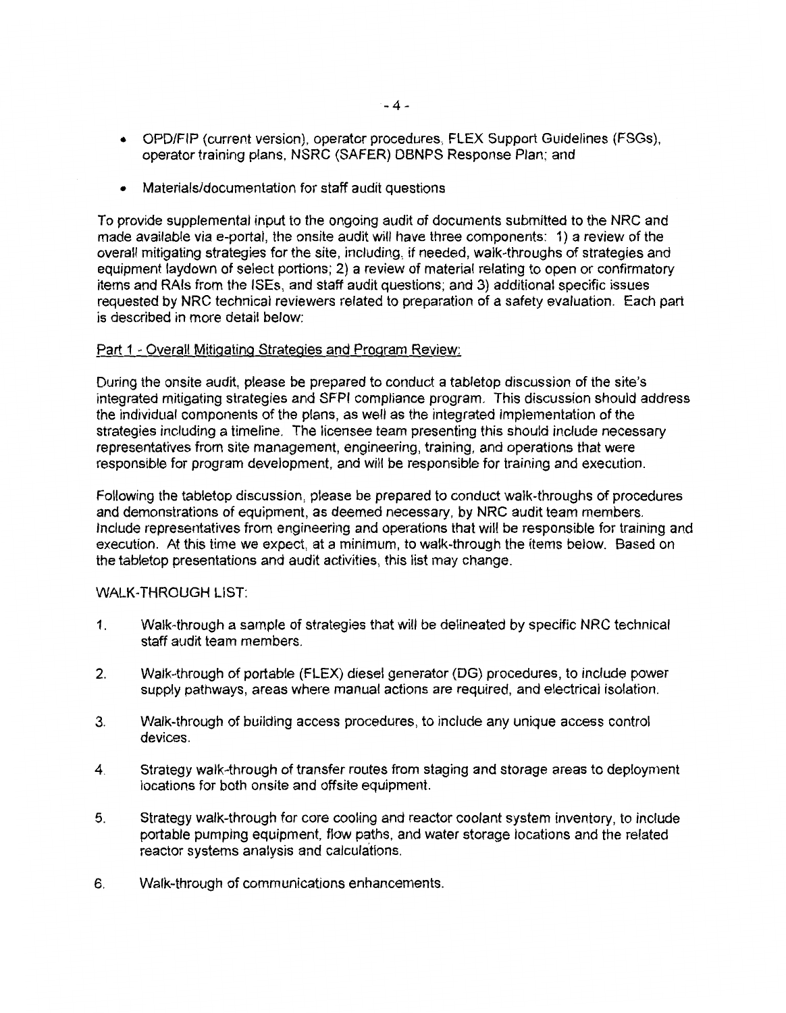- OPD/FIP (current version}, operator procedures, FLEX Support Guidelines (FSGs), operator training plans, NSRC (SAFER) DBNPS Response Plan; and
- Materials/documentation for staff audit questions

To provide supplemental input to the ongoing audit of documents submitted to the NRC and made available via e-portal, the onsite audit will have three components: 1) a review of the overall mitigating strategies for the site, including, if needed, walk-throughs of strategies and equipment laydown of select portions; 2) a review of material relating to open or confirmatory items and RAls from the ISEs, and staff audit questions; and 3) additional specific issues requested by NRC technical reviewers related to preparation of a safety evaluation. Each part is described in more detail below:

## Part 1 - Overall Mitigating Strategies and Program Review:

During the onsite audit, please be prepared to conduct a tabletop discussion of the site's integrated mitigating strategies and SFPI compliance program. This discussion should address the individual components of the plans, as well as the integrated implementation of the strategies including a timeline. The licensee team presenting this should include necessary representatives from site management, engineering, training, and operations that were responsible for program development, and will be responsible for training and execution.

Following the tabletop discussion, please be prepared to conduct walk-throughs of procedures and demonstrations of equipment, as deemed necessary, by NRC audit team members. Include representatives from engineering and operations that will be responsible for training and execution. At this time we expect, at a minimum, to walk-through the items below. Based on the tabletop presentations and audit activities, this list may change.

#### WALK-THROUGH LIST:

- 1. Walk-through a sample of strategies that will be delineated by specific NRC technical staff audit team members.
- 2. Walk-through of portable (FLEX) diesel generator (DG) procedures, to include power supply pathways, areas where manual actions are required, and electrical isolation.
- 3. Walk-through of building access procedures, to include any unique access control devices.
- 4. Strategy walk-through of transfer routes from staging and storage areas to deployment locations for both onsite and offsite equipment.
- 5. Strategy walk-through for core cooling and reactor coolant system inventory, to include portable pumping equipment, flow paths, and water storage locations and the related reactor systems analysis and calculations.
- 6. Walk-through of communications enhancements.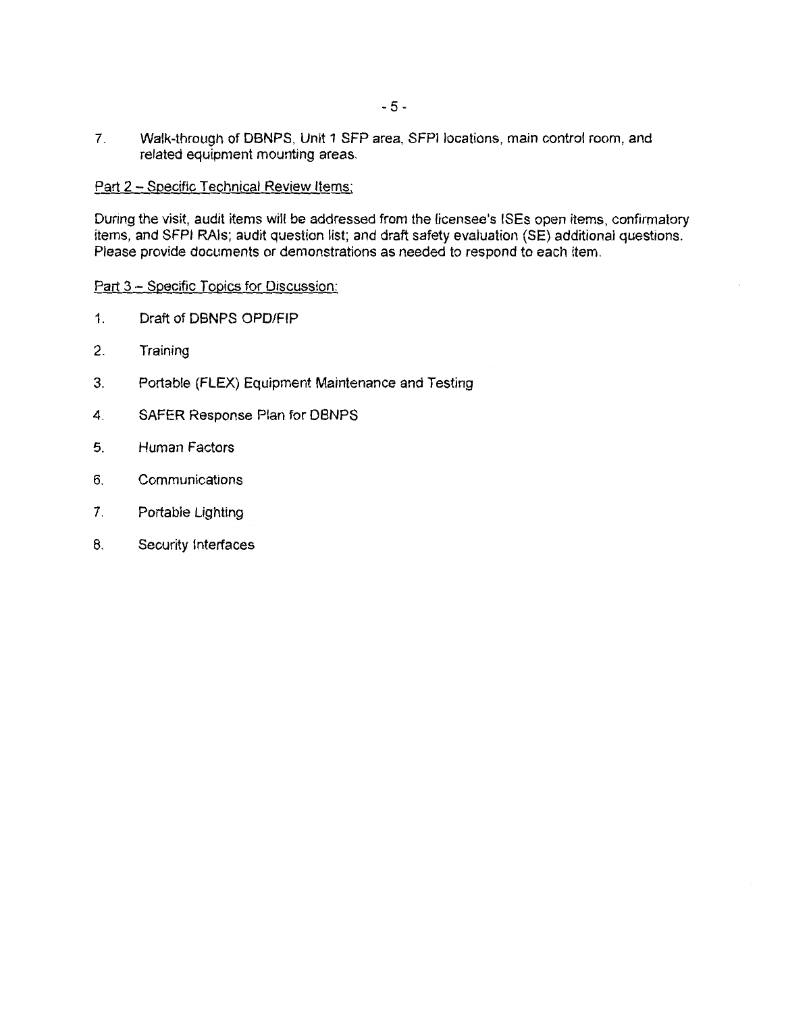7. Walk-through of DBNPS, Unit 1 SFP area, SFPI locations, main control room, and related equipment mounting areas.

## Part 2 - Specific Technical Review Items:

During the visit, audit items will be addressed from the licensee's ISEs open items, confirmatory items, and SFPI RAls; audit question list; and draft safety evaluation (SE) additional questions. Please provide documents or demonstrations as needed to respond to each item.

#### Part 3 - Specific Topics for Discussion:

- 1. Draft of DBNPS OPD/FIP
- 2. Training
- 3. Portable (FLEX) Equipment Maintenance and Testing
- 4. SAFER Response Plan for DBNPS
- 5. Human Factors
- 6. Communications
- 7. Portable Lighting
- 8. Security Interfaces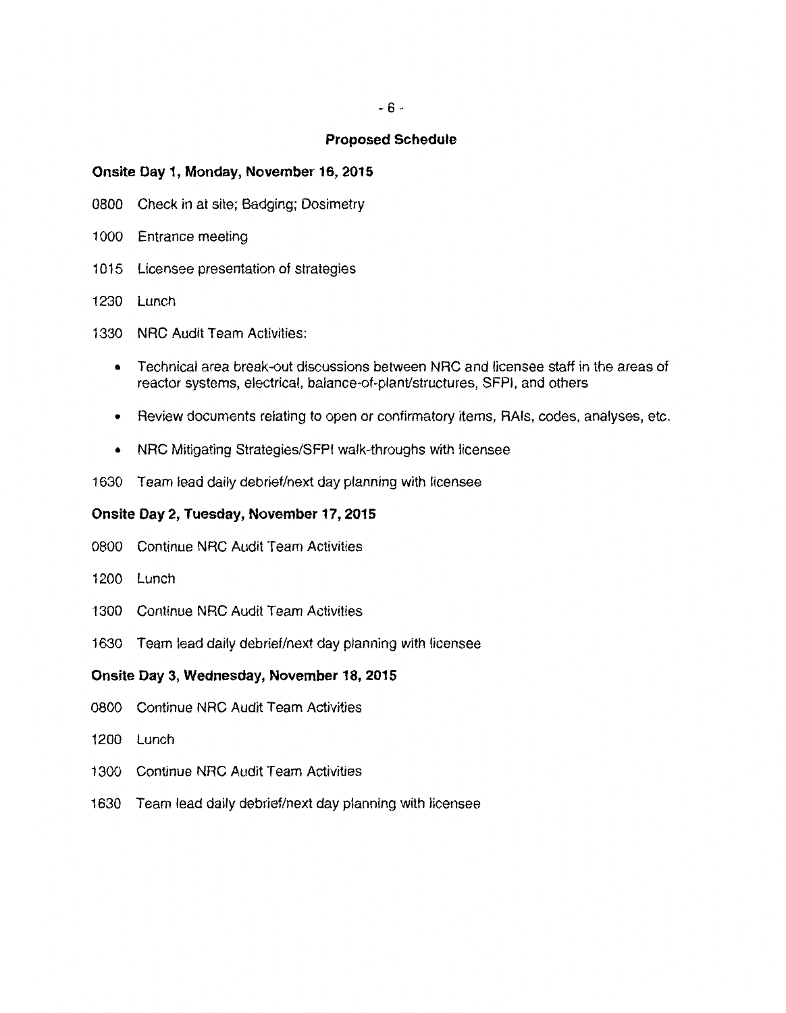- 6 -

### **Proposed Schedule**

## **Onsite Day 1, Monday, November 16, 2015**

- 0800 Check in at site; Badging; Dosimetry
- 1000 Entrance meeting
- 1015 Licensee presentation of strategies
- 1230 Lunch
- 1330 NRC Audit Team Activities:
	- Technical area break-out discussions between NRC and licensee staff in the areas of reactor systems, electrical, balance-of-plant/structures, SFPI, and others
	- Review documents relating to open or confirmatory items, RAls, codes, analyses, etc.
	- NRC Mitigating Strategies/SFPI walk-throughs with licensee
- 1630 Team lead daily debrief/next day planning with licensee

## **Onsite Day 2, Tuesday, November 17, 2015**

- 0800 Continue NRC Audit Team Activities
- 1200 Lunch
- 1300 Continue NRC Audit Team Activities
- 1630 Team lead daily debrief/next day planning with licensee

## **Onsite Day 3, Wednesday, November 18, 2015**

- 0800 Continue NRC Audit Team Activities
- 1200 Lunch
- 1300 Continue NRC Audit Team Activities
- 1630 Team lead daily debrief/next day planning with licensee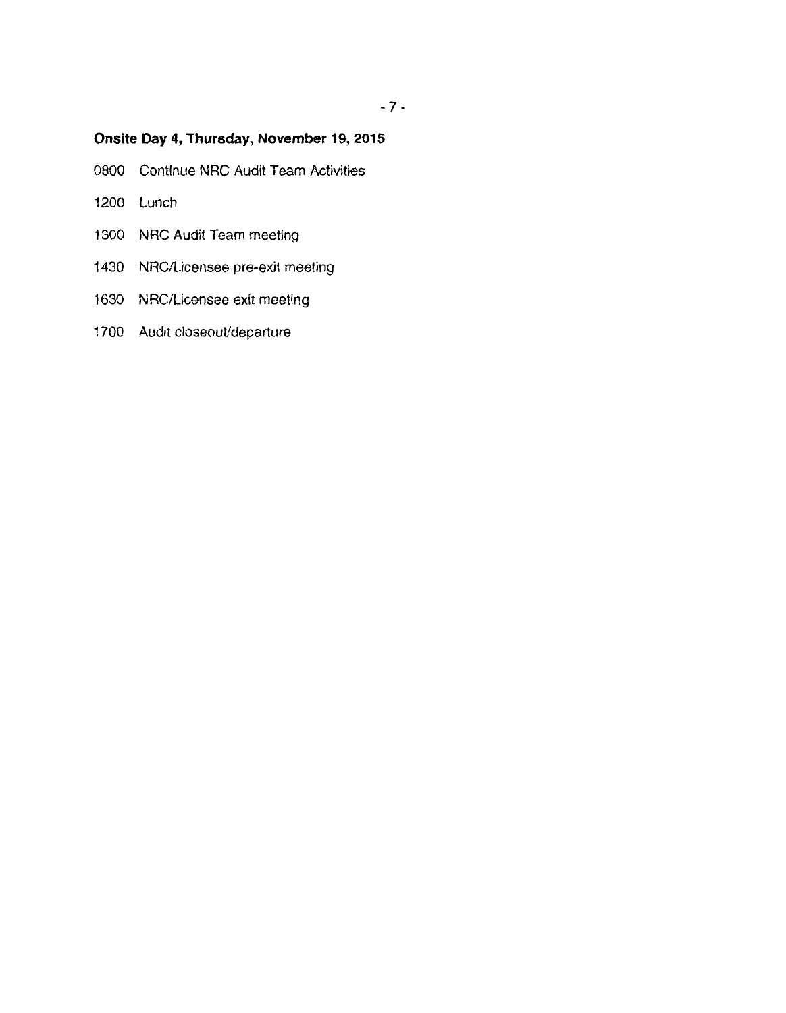# **Onsite Day 4, Thursday, November 19, 2015**

- 0800 Continue NRC Audit Team Activities
- 1200 Lunch
- 1300 NRC Audit Team meeting
- 1430 NRC/Licensee pre-exit meeting
- 1630 NRC/Licensee exit meeting
- 1700 Audit closeout/departure